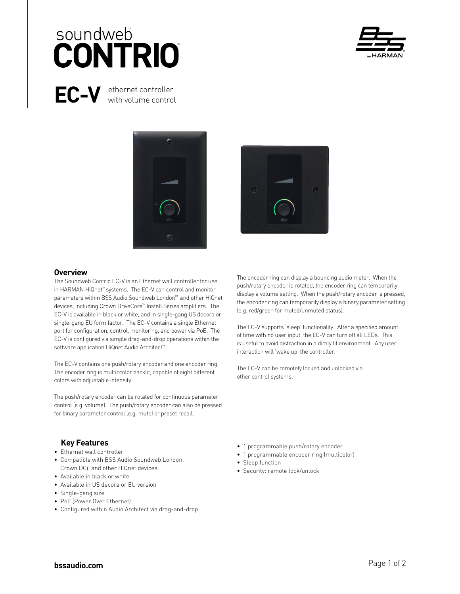# soundweb **CONTRIO**



# **EC-V** ethernet controller

with volume control





#### **Overview**

The Soundweb Contrio EC-V is an Ethernet wall controller for use in HARMAN HiQnet™ systems. The EC-V can control and monitor parameters within BSS Audio Soundweb London™ and other HiQnet devices, including Crown DriveCore™ Install Series amplifiers. The EC-V is available in black or white, and in single-gang US decora or single-gang EU form factor. The EC-V contains a single Ethernet port for configuration, control, monitoring, and power via PoE. The EC-V is configured via simple drag-and-drop operations within the software application HiQnet Audio Architect™ .

The EC-V contains one push/rotary encoder and one encoder ring. The encoder ring is multiccolor backlit, capable of eight different colors with adjustable intensity.

The push/rotary encoder can be rotated for continuous parameter control (e.g. volume). The push/rotary encoder can also be pressed for binary parameter control (e.g. mute) or preset recall.

The encoder ring can display a bouncing audio meter. When the push/rotary encoder is rotated, the encoder ring can temporarily display a volume setting. When the push/rotary encoder is pressed, the encoder ring can temporarily display a binary parameter setting (e.g. red/green for muted/unmuted status).

The EC-V supports 'sleep' functionality. After a specified amount of time with no user input, the EC-V can turn off all LEDs. This is useful to avoid distraction in a dimly lit environment. Any user interaction will 'wake up' the controller.

The EC-V can be remotely locked and unlocked via other control systems.

# **Key Features**

- Ethernet wall controller
- Compatible with BSS Audio Soundweb London, Crown DCi, and other HiQnet devices
- Available in black or white
- Available in US decora or EU version
- Single-gang size
- PoE (Power Over Ethernet)
- Configured within Audio Architect via drag-and-drop
- 1 programmable push/rotary encoder
- 1 programmable encoder ring (multicolor)
- Sleep function
- Security: remote lock/unlock